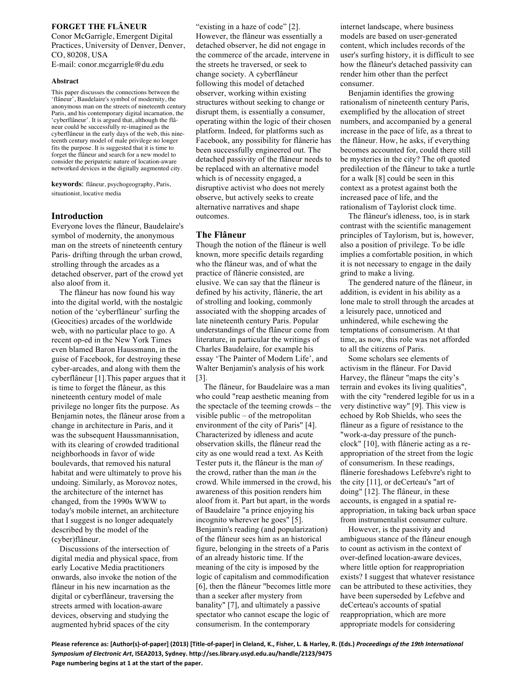# **FORGET THE FLÂNEUR**

Conor McGarrigle, Emergent Digital Practices, University of Denver, Denver, CO, 80208, USA

E-mail: conor.mcgarrigle@du.edu

#### **Abstract**

This paper discusses the connections between the 'flâneur', Baudelaire's symbol of modernity, the anonymous man on the streets of nineteenth century Paris, and his contemporary digital incarnation, the 'cyberflâneur'. It is argued that, although the flâneur could be successfully re-imagined as the cyberflâneur in the early days of the web, this nineteenth century model of male privilege no longer fits the purpose. It is suggested that it is time to forget the flâneur and search for a new model to consider the peripatetic nature of location-aware networked devices in the digitally augmented city.

**keywords**: flâneur, psychogeography, Paris, situationist, locative media

## **Introduction**

Everyone loves the flâneur, Baudelaire's symbol of modernity, the anonymous man on the streets of nineteenth century Paris- drifting through the urban crowd, strolling through the arcades as a detached observer, part of the crowd yet also aloof from it.

The flâneur has now found his way into the digital world, with the nostalgic notion of the 'cyberflâneur' surfing the (Geocities) arcades of the worldwide web, with no particular place to go. A recent op-ed in the New York Times even blamed Baron Haussmann, in the guise of Facebook, for destroying these cyber-arcades, and along with them the cyberflâneur [1].This paper argues that it is time to forget the flâneur, as this nineteenth century model of male privilege no longer fits the purpose. As Benjamin notes, the flâneur arose from a change in architecture in Paris, and it was the subsequent Haussmannisation, with its clearing of crowded traditional neighborhoods in favor of wide boulevards, that removed his natural habitat and were ultimately to prove his undoing. Similarly, as Morovoz notes, the architecture of the internet has changed, from the 1990s WWW to today's mobile internet, an architecture that I suggest is no longer adequately described by the model of the (cyber)flâneur.

Discussions of the intersection of digital media and physical space, from early Locative Media practitioners onwards, also invoke the notion of the flâneur in his new incarnation as the digital or cyberflâneur, traversing the streets armed with location-aware devices, observing and studying the augmented hybrid spaces of the city

"existing in a haze of code" [2]. However, the flâneur was essentially a detached observer, he did not engage in the commerce of the arcade, intervene in the streets he traversed, or seek to change society. A cyberflâneur following this model of detached observer, working within existing structures without seeking to change or disrupt them, is essentially a consumer, operating within the logic of their chosen platform. Indeed, for platforms such as Facebook, any possibility for flânerie has been successfully engineered out. The detached passivity of the flâneur needs to be replaced with an alternative model which is of necessity engaged, a disruptive activist who does not merely observe, but actively seeks to create alternative narratives and shape outcomes.

## **The Flâneur**

Though the notion of the flâneur is well known, more specific details regarding who the flâneur was, and of what the practice of flânerie consisted, are elusive. We can say that the flâneur is defined by his activity, flânerie, the art of strolling and looking, commonly associated with the shopping arcades of late nineteenth century Paris. Popular understandings of the flâneur come from literature, in particular the writings of Charles Baudelaire, for example his essay 'The Painter of Modern Life', and Walter Benjamin's analysis of his work [3].

The flâneur, for Baudelaire was a man who could "reap aesthetic meaning from the spectacle of the teeming crowds – the visible public – of the metropolitan environment of the city of Paris" [4]. Characterized by idleness and acute observation skills, the flâneur read the city as one would read a text. As Keith Tester puts it, the flâneur is the man *of* the crowd, rather than the man *in* the crowd. While immersed in the crowd, his awareness of this position renders him aloof from it. Part but apart, in the words of Baudelaire "a prince enjoying his incognito wherever he goes" [5]. Benjamin's reading (and popularization) of the flâneur sees him as an historical figure, belonging in the streets of a Paris of an already historic time. If the meaning of the city is imposed by the logic of capitalism and commodification [6], then the flâneur "becomes little more than a seeker after mystery from banality" [7], and ultimately a passive spectator who cannot escape the logic of consumerism. In the contemporary

internet landscape, where business models are based on user-generated content, which includes records of the user's surfing history, it is difficult to see how the flâneur's detached passivity can render him other than the perfect consumer.

Benjamin identifies the growing rationalism of nineteenth century Paris, exemplified by the allocation of street numbers, and accompanied by a general increase in the pace of life, as a threat to the flâneur. How, he asks, if everything becomes accounted for, could there still be mysteries in the city? The oft quoted predilection of the flâneur to take a turtle for a walk [8] could be seen in this context as a protest against both the increased pace of life, and the rationalism of Taylorist clock time.

The flâneur's idleness, too, is in stark contrast with the scientific management principles of Taylorism, but is, however, also a position of privilege. To be idle implies a comfortable position, in which it is not necessary to engage in the daily grind to make a living.

The gendered nature of the flâneur, in addition, is evident in his ability as a lone male to stroll through the arcades at a leisurely pace, unnoticed and unhindered, while eschewing the temptations of consumerism. At that time, as now, this role was not afforded to all the citizens of Paris.

Some scholars see elements of activism in the flâneur. For David Harvey, the flâneur "maps the city's terrain and evokes its living qualities", with the city "rendered legible for us in a very distinctive way" [9]. This view is echoed by Rob Shields, who sees the flâneur as a figure of resistance to the "work-a-day pressure of the punchclock" [10], with flânerie acting as a reappropriation of the street from the logic of consumerism. In these readings, flânerie foreshadows Lefebvre's right to the city [11], or deCerteau's "art of doing" [12]. The flâneur, in these accounts, is engaged in a spatial reappropriation, in taking back urban space from instrumentalist consumer culture.

However, is the passivity and ambiguous stance of the flâneur enough to count as activism in the context of over-defined location-aware devices, where little option for reappropriation exists? I suggest that whatever resistance can be attributed to these activities, they have been superseded by Lefebve and deCerteau's accounts of spatial reappropriation, which are more appropriate models for considering

Please reference as: [Author(s)-of-paper] (2013) [Title-of-paper] in Cleland, K., Fisher, L. & Harley, R. (Eds.) Proceedings of the 19th International *Symposium of Electronic Art***, ISEA2013, Sydney. http://ses.library.usyd.edu.au/handle/2123/9475** Page numbering begins at 1 at the start of the paper.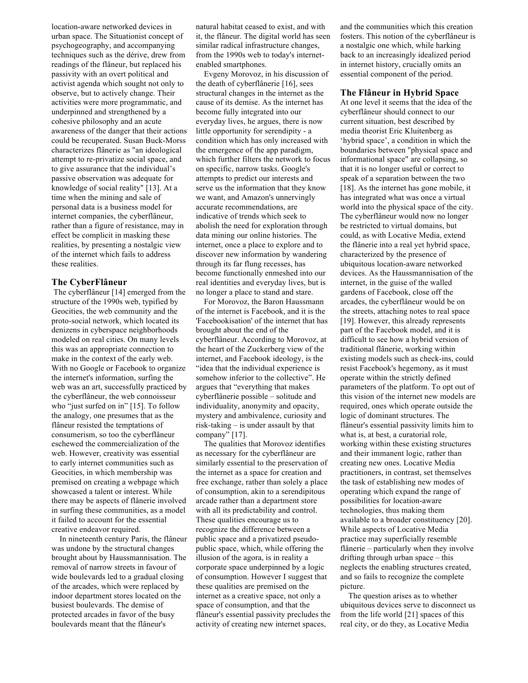location-aware networked devices in urban space. The Situationist concept of psychogeography, and accompanying techniques such as the dérive, drew from readings of the flâneur, but replaced his passivity with an overt political and activist agenda which sought not only to observe, but to actively change. Their activities were more programmatic, and underpinned and strengthened by a cohesive philosophy and an acute awareness of the danger that their actions could be recuperated. Susan Buck-Morss characterizes flânerie as "an ideological attempt to re-privatize social space, and to give assurance that the individual's passive observation was adequate for knowledge of social reality" [13]. At a time when the mining and sale of personal data is a business model for internet companies, the cyberflâneur, rather than a figure of resistance, may in effect be complicit in masking these realities, by presenting a nostalgic view of the internet which fails to address these realities.

# **The CyberFlâneur**

The cyberflâneur [14] emerged from the structure of the 1990s web, typified by Geocities, the web community and the proto-social network, which located its denizens in cyberspace neighborhoods modeled on real cities. On many levels this was an appropriate connection to make in the context of the early web. With no Google or Facebook to organize the internet's information, surfing the web was an art, successfully practiced by the cyberflâneur, the web connoisseur who "just surfed on in" [15]. To follow the analogy, one presumes that as the flâneur resisted the temptations of consumerism, so too the cyberflâneur eschewed the commercialization of the web. However, creativity was essential to early internet communities such as Geocities, in which membership was premised on creating a webpage which showcased a talent or interest. While there may be aspects of flânerie involved in surfing these communities, as a model it failed to account for the essential creative endeavor required.

In nineteenth century Paris, the flâneur was undone by the structural changes brought about by Haussmannisation. The removal of narrow streets in favour of wide boulevards led to a gradual closing of the arcades, which were replaced by indoor department stores located on the busiest boulevards. The demise of protected arcades in favor of the busy boulevards meant that the flâneur's

natural habitat ceased to exist, and with it, the flâneur. The digital world has seen similar radical infrastructure changes, from the 1990s web to today's internetenabled smartphones.

Evgeny Morovoz, in his discussion of the death of cyberflânerie [16], sees structural changes in the internet as the cause of its demise. As the internet has become fully integrated into our everyday lives, he argues, there is now little opportunity for serendipity - a condition which has only increased with the emergence of the app paradigm, which further filters the network to focus on specific, narrow tasks. Google's attempts to predict our interests and serve us the information that they know we want, and Amazon's unnervingly accurate recommendations, are indicative of trends which seek to abolish the need for exploration through data mining our online histories. The internet, once a place to explore and to discover new information by wandering through its far flung recesses, has become functionally enmeshed into our real identities and everyday lives, but is no longer a place to stand and stare.

For Morovoz, the Baron Haussmann of the internet is Facebook, and it is the 'Facebookisation' of the internet that has brought about the end of the cyberflâneur. According to Morovoz, at the heart of the Zuckerberg view of the internet, and Facebook ideology, is the "idea that the individual experience is somehow inferior to the collective". He argues that "everything that makes cyberflânerie possible – solitude and individuality, anonymity and opacity, mystery and ambivalence, curiosity and risk-taking – is under assault by that company" [17].

The qualities that Morovoz identifies as necessary for the cyberflâneur are similarly essential to the preservation of the internet as a space for creation and free exchange, rather than solely a place of consumption, akin to a serendipitous arcade rather than a department store with all its predictability and control. These qualities encourage us to recognize the difference between a public space and a privatized pseudopublic space, which, while offering the illusion of the agora, is in reality a corporate space underpinned by a logic of consumption. However I suggest that these qualities are premised on the internet as a creative space, not only a space of consumption, and that the flâneur's essential passivity precludes the activity of creating new internet spaces,

and the communities which this creation fosters. This notion of the cyberflâneur is a nostalgic one which, while harking back to an increasingly idealized period in internet history, crucially omits an essential component of the period.

## **The Flâneur in Hybrid Space**

At one level it seems that the idea of the cyberflâneur should connect to our current situation, best described by media theorist Eric Kluitenberg as 'hybrid space', a condition in which the boundaries between "physical space and informational space" are collapsing, so that it is no longer useful or correct to speak of a separation between the two [18]. As the internet has gone mobile, it has integrated what was once a virtual world into the physical space of the city. The cyberflâneur would now no longer be restricted to virtual domains, but could, as with Locative Media, extend the flânerie into a real yet hybrid space, characterized by the presence of ubiquitous location-aware networked devices. As the Haussmannisation of the internet, in the guise of the walled gardens of Facebook, close off the arcades, the cyberflâneur would be on the streets, attaching notes to real space [19]. However, this already represents part of the Facebook model, and it is difficult to see how a hybrid version of traditional flânerie, working within existing models such as check-ins, could resist Facebook's hegemony, as it must operate within the strictly defined parameters of the platform. To opt out of this vision of the internet new models are required, ones which operate outside the logic of dominant structures. The flâneur's essential passivity limits him to what is, at best, a curatorial role, working within these existing structures and their immanent logic, rather than creating new ones. Locative Media practitioners, in contrast, set themselves the task of establishing new modes of operating which expand the range of possibilities for location-aware technologies, thus making them available to a broader constituency [20]. While aspects of Locative Media practice may superficially resemble flânerie – particularly when they involve drifting through urban space – this neglects the enabling structures created, and so fails to recognize the complete picture.

The question arises as to whether ubiquitous devices serve to disconnect us from the life world [21] spaces of this real city, or do they, as Locative Media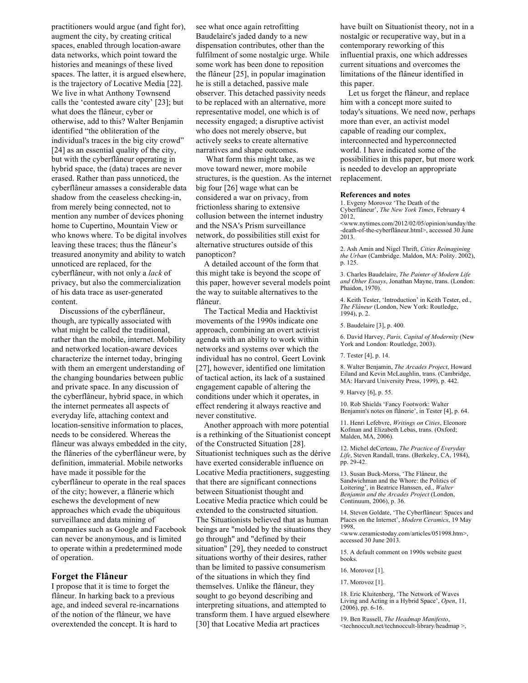practitioners would argue (and fight for), augment the city, by creating critical spaces, enabled through location-aware data networks, which point toward the histories and meanings of these lived spaces. The latter, it is argued elsewhere, is the trajectory of Locative Media [22]. We live in what Anthony Townsend calls the 'contested aware city' [23]; but what does the flâneur, cyber or otherwise, add to this? Walter Benjamin identified "the obliteration of the individual's traces in the big city crowd" [24] as an essential quality of the city, but with the cyberflâneur operating in hybrid space, the (data) traces are never erased. Rather than pass unnoticed, the cyberflâneur amasses a considerable data shadow from the ceaseless checking-in, from merely being connected, not to mention any number of devices phoning home to Cupertino, Mountain View or who knows where. To be digital involves leaving these traces; thus the flâneur's treasured anonymity and ability to watch unnoticed are replaced, for the cyberflâneur, with not only a *lack* of privacy, but also the commercialization of his data trace as user-generated content.

Discussions of the cyberflâneur, though, are typically associated with what might be called the traditional, rather than the mobile, internet. Mobility and networked location-aware devices characterize the internet today, bringing with them an emergent understanding of the changing boundaries between public and private space. In any discussion of the cyberflâneur, hybrid space, in which the internet permeates all aspects of everyday life, attaching context and location-sensitive information to places, needs to be considered. Whereas the flâneur was always embedded in the city, the flâneries of the cyberflâneur were, by definition, immaterial. Mobile networks have made it possible for the cyberflâneur to operate in the real spaces of the city; however, a flânerie which eschews the development of new approaches which evade the ubiquitous surveillance and data mining of companies such as Google and Facebook can never be anonymous, and is limited to operate within a predetermined mode of operation.

## **Forget the Flâneur**

I propose that it is time to forget the flâneur. In harking back to a previous age, and indeed several re-incarnations of the notion of the flâneur, we have overextended the concept. It is hard to

see what once again retrofitting Baudelaire's jaded dandy to a new dispensation contributes, other than the fulfilment of some nostalgic urge. While some work has been done to reposition the flâneur [25], in popular imagination he is still a detached, passive male observer. This detached passivity needs to be replaced with an alternative, more representative model, one which is of necessity engaged; a disruptive activist who does not merely observe, but actively seeks to create alternative narratives and shape outcomes.

What form this might take, as we move toward newer, more mobile structures, is the question. As the internet big four [26] wage what can be considered a war on privacy, from frictionless sharing to extensive collusion between the internet industry and the NSA's Prism surveillance network, do possibilities still exist for alternative structures outside of this panopticon?

A detailed account of the form that this might take is beyond the scope of this paper, however several models point the way to suitable alternatives to the flâneur.

The Tactical Media and Hacktivist movements of the 1990s indicate one approach, combining an overt activist agenda with an ability to work within networks and systems over which the individual has no control. Geert Lovink [27], however, identified one limitation of tactical action, its lack of a sustained engagement capable of altering the conditions under which it operates, in effect rendering it always reactive and never constitutive.

Another approach with more potential is a rethinking of the Situationist concept of the Constructed Situation [28]. Situationist techniques such as the dérive have exerted considerable influence on Locative Media practitioners, suggesting that there are significant connections between Situationist thought and Locative Media practice which could be extended to the constructed situation. The Situationists believed that as human beings are "molded by the situations they go through" and "defined by their situation" [29], they needed to construct situations worthy of their desires, rather than be limited to passive consumerism of the situations in which they find themselves. Unlike the flâneur, they sought to go beyond describing and interpreting situations, and attempted to transform them. I have argued elsewhere [30] that Locative Media art practices

have built on Situationist theory, not in a nostalgic or recuperative way, but in a contemporary reworking of this influential praxis, one which addresses current situations and overcomes the limitations of the flâneur identified in this paper.

Let us forget the flâneur, and replace him with a concept more suited to today's situations. We need now, perhaps more than ever, an activist model capable of reading our complex, interconnected and hyperconnected world. I have indicated some of the possibilities in this paper, but more work is needed to develop an appropriate replacement.

#### **References and notes**

1. Evgeny Morovoz 'The Death of the Cyberflâneur', *The New York Times*, February 4 2012,

<www.nytimes.com/2012/02/05/opinion/sunday/the -death-of-the-cyberflâneur.html>, accessed 30 June 2013.

2. Ash Amin and Nigel Thrift, *Cities Reimagining the Urban* (Cambridge. Maldon, MA: Polity. 2002), p. 125.

3. Charles Baudelaire, *The Painter of Modern Life and Other Essays*, Jonathan Mayne, trans. (London: Phaidon, 1970).

4. Keith Tester, 'Introduction' in Keith Tester, ed., *The Flâneur* (London, New York: Routledge, 1994), p. 2.

5. Baudelaire [3], p. 400.

6. David Harvey, *Paris, Capital of Modernity* (New York and London: Routledge, 2003).

7. Tester [4], p. 14.

8. Walter Benjamin, *The Arcades Project*, Howard Eiland and Kevin McLaughlin, trans. (Cambridge, MA: Harvard University Press, 1999), p. 442.

9. Harvey [6], p. 55.

10. Rob Shields 'Fancy Footwork: Walter Benjamin's notes on flânerie', in Tester [4], p. 64.

11. Henri Lefebvre, *Writings on Cities*, Eleonore Kofman and Elizabeth Lebas, trans. (Oxford; Malden, MA, 2006).

12. Michel deCerteau, *The Practice of Everyday Life*, Steven Randall, trans. (Berkeley, CA, 1984), pp. 29-42.

13. Susan Buck-Morss, 'The Flâneur, the Sandwichman and the Whore: the Politics of Loitering', in Beatrice Hanssen, ed., *Walter Benjamin and the Arcades Project* (London, Continuum, 2006), p. 36.

14. Steven Goldate, 'The Cyberflâneur: Spaces and Places on the Internet', *Modern Ceramics*, 19 May 1998,

<www.ceramicstoday.com/articles/051998.htm>, accessed 30 June 2013.

15. A default comment on 1990s website guest books.

16. Morovoz [1].

17. Morovoz [1].

18. Eric Kluitenberg, 'The Network of Waves Living and Acting in a Hybrid Space', *Open*, 11, (2006), pp. 6-16.

19. Ben Russell, *The Headmap Manifesto*, <technoccult.net/technoccult-library/headmap >,